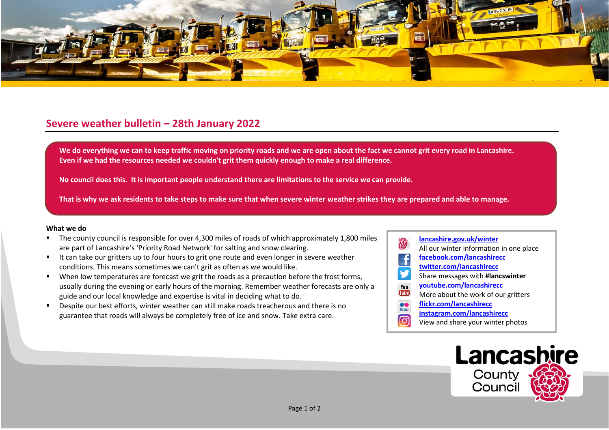

## **Severe weather bulletin – 28th January 2022**

We do everything we can to keep traffic moving on priority roads and we are open about the fact we cannot grit every road in Lancashire. **Even if we had the resources needed we couldn't grit them quickly enough to make a real difference.**

**No council does this. It is important people understand there are limitations to the service we can provide.**

**That is why we ask residents to take steps to make sure that when severe winter weather strikes they are prepared and able to manage.**

## **What we do**

- The county council is responsible for over 4,300 miles of roads of which approximately 1,800 miles are part of Lancashire's 'Priority Road Network' for salting and snow clearing.
- It can take our gritters up to four hours to grit one route and even longer in severe weather conditions. This means sometimes we can't grit as often as we would like.
- When low temperatures are forecast we grit the roads as a precaution before the frost forms, usually during the evening or early hours of the morning. Remember weather forecasts are only a guide and our local knowledge and expertise is vital in deciding what to do.
- Despite our best efforts, winter weather can still make roads treacherous and there is no guarantee that roads will always be completely free of ice and snow. Take extra care.
- **[lancashire.gov.uk/winter](http://www.lancashire.gov.uk/winter)** All our winter information in one place **[facebook.com/lancashirecc](http://www.facebook.com/lancashirecc) [twitter.com/lancashirecc](http://www.twitter.com/lancashirecc)** y Share messages with **#lancswinter [youtube.com/lancashirecc](http://www.youtube.com/lancashirecc)** You **Tilte** More about the work of our gritters  $\bullet$ **[flickr.com/lancashirecc](http://www.flickr.com/lancashirecc)** flickr **[instagram.com/lancashirecc](http://www.instagram.com/lancashirecc)** ြင View and share your winter photos